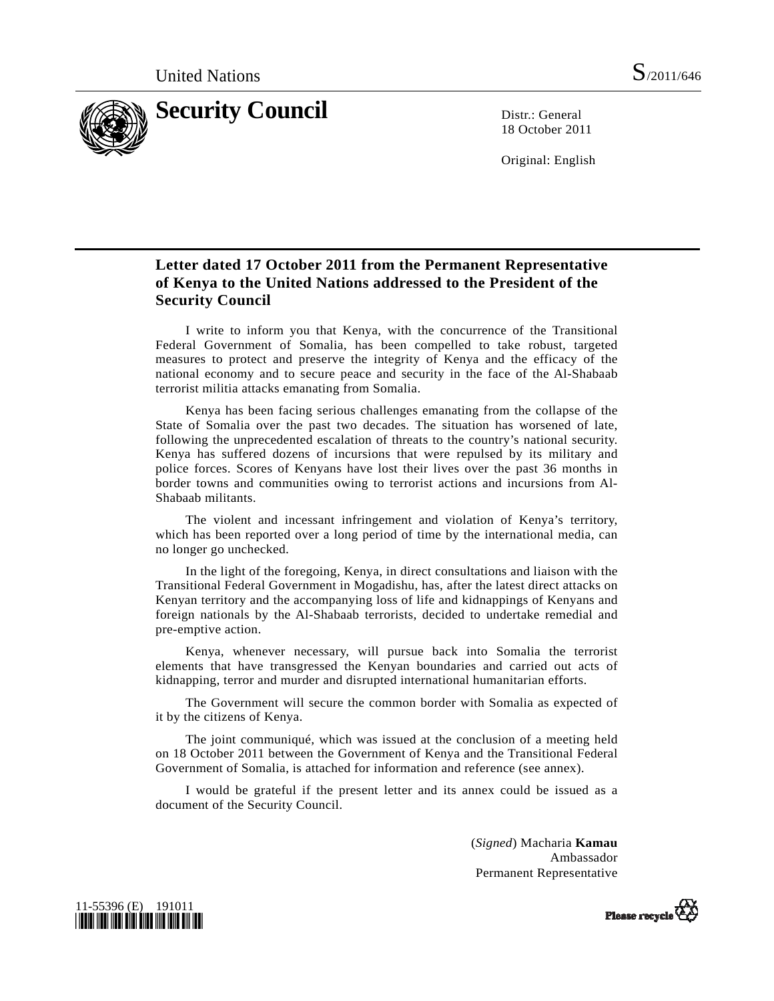

18 October 2011

Original: English

## **Letter dated 17 October 2011 from the Permanent Representative of Kenya to the United Nations addressed to the President of the Security Council**

 I write to inform you that Kenya, with the concurrence of the Transitional Federal Government of Somalia, has been compelled to take robust, targeted measures to protect and preserve the integrity of Kenya and the efficacy of the national economy and to secure peace and security in the face of the Al-Shabaab terrorist militia attacks emanating from Somalia.

 Kenya has been facing serious challenges emanating from the collapse of the State of Somalia over the past two decades. The situation has worsened of late, following the unprecedented escalation of threats to the country's national security. Kenya has suffered dozens of incursions that were repulsed by its military and police forces. Scores of Kenyans have lost their lives over the past 36 months in border towns and communities owing to terrorist actions and incursions from Al-Shabaab militants.

 The violent and incessant infringement and violation of Kenya's territory, which has been reported over a long period of time by the international media, can no longer go unchecked.

 In the light of the foregoing, Kenya, in direct consultations and liaison with the Transitional Federal Government in Mogadishu, has, after the latest direct attacks on Kenyan territory and the accompanying loss of life and kidnappings of Kenyans and foreign nationals by the Al-Shabaab terrorists, decided to undertake remedial and pre-emptive action.

 Kenya, whenever necessary, will pursue back into Somalia the terrorist elements that have transgressed the Kenyan boundaries and carried out acts of kidnapping, terror and murder and disrupted international humanitarian efforts.

 The Government will secure the common border with Somalia as expected of it by the citizens of Kenya.

 The joint communiqué, which was issued at the conclusion of a meeting held on 18 October 2011 between the Government of Kenya and the Transitional Federal Government of Somalia, is attached for information and reference (see annex).

 I would be grateful if the present letter and its annex could be issued as a document of the Security Council.

> (*Signed*) Macharia **Kamau**  Ambassador Permanent Representative



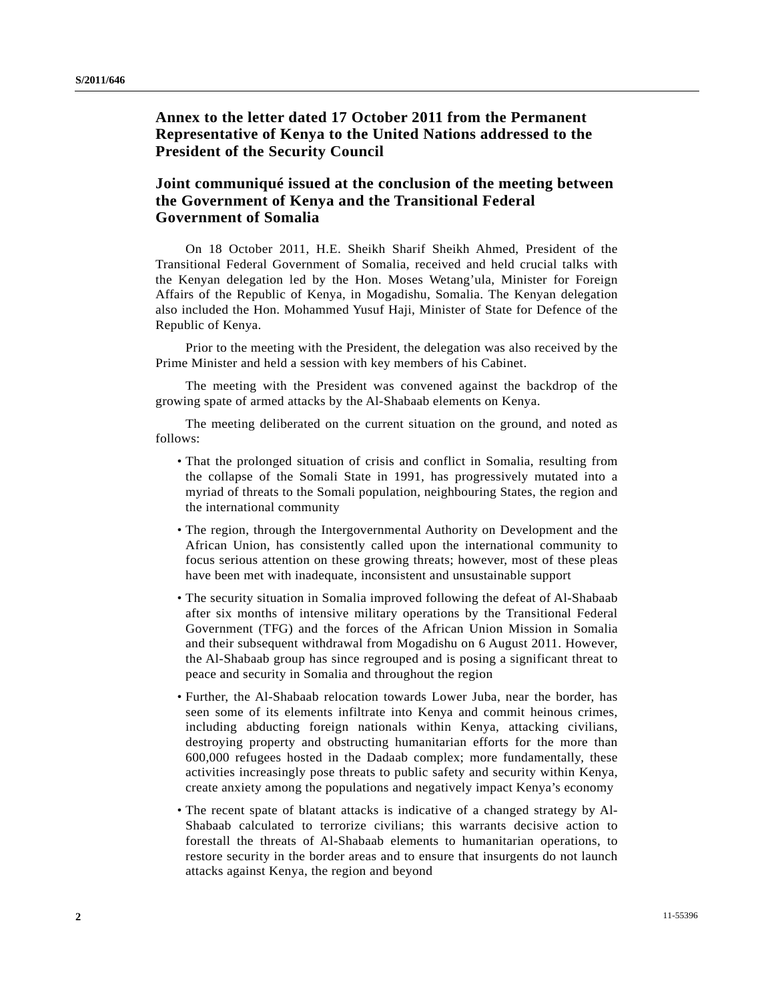## **Annex to the letter dated 17 October 2011 from the Permanent Representative of Kenya to the United Nations addressed to the President of the Security Council**

## **Joint communiqué issued at the conclusion of the meeting between the Government of Kenya and the Transitional Federal Government of Somalia**

 On 18 October 2011, H.E. Sheikh Sharif Sheikh Ahmed, President of the Transitional Federal Government of Somalia, received and held crucial talks with the Kenyan delegation led by the Hon. Moses Wetang'ula, Minister for Foreign Affairs of the Republic of Kenya, in Mogadishu, Somalia. The Kenyan delegation also included the Hon. Mohammed Yusuf Haji, Minister of State for Defence of the Republic of Kenya.

 Prior to the meeting with the President, the delegation was also received by the Prime Minister and held a session with key members of his Cabinet.

 The meeting with the President was convened against the backdrop of the growing spate of armed attacks by the Al-Shabaab elements on Kenya.

 The meeting deliberated on the current situation on the ground, and noted as follows:

- That the prolonged situation of crisis and conflict in Somalia, resulting from the collapse of the Somali State in 1991, has progressively mutated into a myriad of threats to the Somali population, neighbouring States, the region and the international community
- The region, through the Intergovernmental Authority on Development and the African Union, has consistently called upon the international community to focus serious attention on these growing threats; however, most of these pleas have been met with inadequate, inconsistent and unsustainable support
- The security situation in Somalia improved following the defeat of Al-Shabaab after six months of intensive military operations by the Transitional Federal Government (TFG) and the forces of the African Union Mission in Somalia and their subsequent withdrawal from Mogadishu on 6 August 2011. However, the Al-Shabaab group has since regrouped and is posing a significant threat to peace and security in Somalia and throughout the region
- Further, the Al-Shabaab relocation towards Lower Juba, near the border, has seen some of its elements infiltrate into Kenya and commit heinous crimes, including abducting foreign nationals within Kenya, attacking civilians, destroying property and obstructing humanitarian efforts for the more than 600,000 refugees hosted in the Dadaab complex; more fundamentally, these activities increasingly pose threats to public safety and security within Kenya, create anxiety among the populations and negatively impact Kenya's economy
- The recent spate of blatant attacks is indicative of a changed strategy by Al-Shabaab calculated to terrorize civilians; this warrants decisive action to forestall the threats of Al-Shabaab elements to humanitarian operations, to restore security in the border areas and to ensure that insurgents do not launch attacks against Kenya, the region and beyond